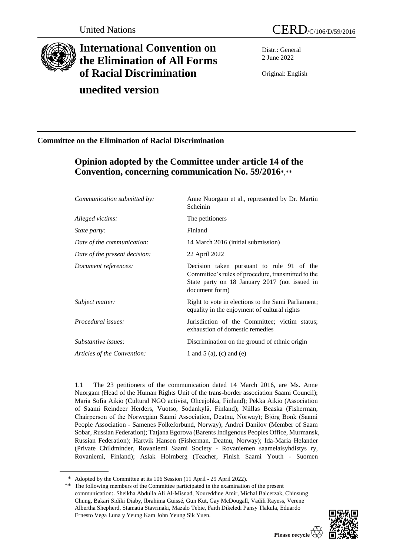

# **International Convention on the Elimination of All Forms of Racial Discrimination**

## **unedited version**

Distr.: General 2 June 2022

Original: English

### **Committee on the Elimination of Racial Discrimination**

## **Opinion adopted by the Committee under article 14 of the Convention, concerning communication No. 59/2016\***,\*\*

| Communication submitted by:   | Anne Nuorgam et al., represented by Dr. Martin<br>Scheinin                                                                                                         |
|-------------------------------|--------------------------------------------------------------------------------------------------------------------------------------------------------------------|
| Alleged victims:              | The petitioners                                                                                                                                                    |
| State party:                  | Finland                                                                                                                                                            |
| Date of the communication:    | 14 March 2016 (initial submission)                                                                                                                                 |
| Date of the present decision: | 22 April 2022                                                                                                                                                      |
| Document references:          | Decision taken pursuant to rule 91 of the<br>Committee's rules of procedure, transmitted to the<br>State party on 18 January 2017 (not issued in<br>document form) |
| Subject matter:               | Right to vote in elections to the Sami Parliament;<br>equality in the enjoyment of cultural rights                                                                 |
| Procedural issues:            | Jurisdiction of the Committee; victim status;<br>exhaustion of domestic remedies                                                                                   |
| Substantive issues:           | Discrimination on the ground of ethnic origin                                                                                                                      |
| Articles of the Convention:   | 1 and 5 (a), (c) and (e)                                                                                                                                           |

1.1 The 23 petitioners of the communication dated 14 March 2016, are Ms. Anne Nuorgam (Head of the Human Rights Unit of the trans-border association Saami Council); Maria Sofia Aikio (Cultural NGO activist, Ohcejohka, Finland); Pekka Aikio (Association of Saami Reindeer Herders, Vuotso, Sodankylӓ, Finland); Niillas Beaska (Fisherman, Chairperson of the Norwegian Saami Association, Deatnu, Norway); Bjӧrg Bonk (Saami People Association - Samenes Folkeforbund, Norway); Andrei Danilov (Member of Saam Sobar, Russian Federation); Tatjana Egorova (Barents Indigenous Peoples Office, Murmansk, Russian Federation); Hartvik Hansen (Fisherman, Deatnu, Norway); Ida-Maria Helander (Private Childminder, Rovaniemi Saami Society - Rovaniemen saamelaisyhdistys ry, Rovaniemi, Finland); Aslak Holmberg (Teacher, Finish Saami Youth - Suomen

<sup>\*\*</sup> The following members of the Committee participated in the examination of the present communication:. Sheikha Abdulla Ali Al-Misnad, Noureddine Amir, Michal Balcerzak, Chinsung Chung, Bakari Sidiki Diaby, Ibrahima Guissé, Gun Kut, Gay McDougall, Vadili Rayess, Verene Albertha Shepherd, Stamatia Stavrinaki, Mazalo Tebie, Faith Dikeledi Pansy Tlakula, Eduardo Ernesto Vega Luna y Yeung Kam John Yeung Sik Yuen.



<sup>\*</sup> Adopted by the Committee at its 106 Session (11 April - 29 April 2022).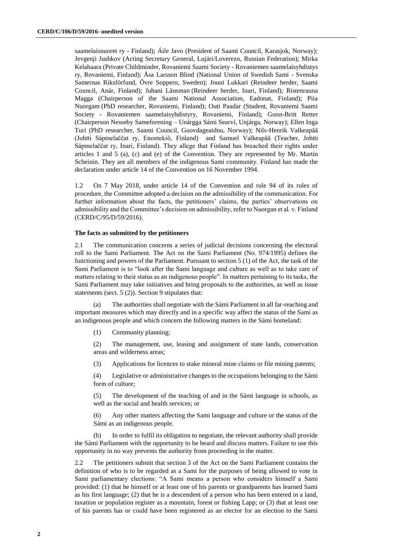saamelaisnuoret ry - Finland); Áile Javo (President of Saami Council, Karasjok, Norway); Jevgenji Jushkov (Acting Secretary General, Lujári/Loverezo, Russian Federation); Mirka Kelahaara (Private Childminder, Rovaniemi Saami Society - Rovaniemen saamelaisyhdistys ry, Rovaniemi, Finland); Åsa Larsson Blind (National Union of Swedish Sami - Svenska Samernas Riksfӧrfund, Ӧvre Soppero, Sweden); Jouni Lukkari (Reindeer herder, Saami Council, Anár, Finland); Juhani Lӓnsman (Reindeer herder, Inari, Finland); Ristenrauna Magga (Chairperson of the Saami National Association, Eadonat, Finland); Piia Nuorgam (PhD researcher, Rovaniemi, Finland); Outi Paadar (Student, Rovaniemi Saami Society - Rovaniemen saamelaisyhdistyry, Rovaniemi, Finland); Gunn-Britt Retter (Chairperson Nesseby Sameforening – Unárgga Sámi Searvi, Unjárga, Norway); Ellen Inga Turi (PhD researcher, Saami Council, Guovdageaidnu, Norway); Nils-Henrik Valkeapӓӓ (Johtti Sápmelaččat ry, Enontekiӧ, Finland) and Samuel Valkeapӓӓ (Teacher, Johtti Sápmelaččat ry, Inari, Finland). They allege that Finland has breached their rights under articles 1 and 5 (a), (c) and (e) of the Convention. They are represented by Mr. Martin Scheinin. They are all members of the indigenous Sami community. Finland has made the declaration under article 14 of the Convention on 16 November 1994.

1.2 On 7 May 2018, under article 14 of the Convention and rule 94 of its rules of procedure, the Committee adopted a decision on the admissibility of the communication. For further information about the facts, the petitioners' claims, the parties' observations on admissibility and the Committee's decision on admissibility, refer to Nuorgan et al. v. Finland (CERD/C/95/D/59/2016).

#### **The facts as submitted by the petitioners**

2.1 The communication concerns a series of judicial decisions concerning the electoral roll to the Sami Parliament. The Act on the Sami Parliament (No. 974/1995) defines the functioning and powers of the Parliament. Pursuant to section 5 (1) of the Act, the task of the Sami Parliament is to "look after the Sami language and culture as well as to take care of matters relating to their status as an indigenous people". In matters pertaining to its tasks, the Sami Parliament may take initiatives and bring proposals to the authorities, as well as issue statements (sect. 5 (2)). Section 9 stipulates that:

(a) The authorities shall negotiate with the Sámi Parliament in all far-reaching and important measures which may directly and in a specific way affect the status of the Sami as an indigenous people and which concern the following matters in the Sámi homeland:

(1) Community planning;

(2) The management, use, leasing and assignment of state lands, conservation areas and wilderness areas;

(3) Applications for licences to stake mineral mine claims or file mining patents;

(4) Legislative or administrative changes to the occupations belonging to the Sámi form of culture;

(5) The development of the teaching of and in the Sámi language in schools, as well as the social and health services; or

(6) Any other matters affecting the Sami language and culture or the status of the Sámi as an indigenous people.

(b) In order to fulfil its obligation to negotiate, the relevant authority shall provide the Sámi Parliament with the opportunity to be heard and discuss matters. Failure to use this opportunity in no way prevents the authority from proceeding in the matter.

2.2 The petitioners submit that section 3 of the Act on the Sami Parliament contains the definition of who is to be regarded as a Sami for the purposes of being allowed to vote in Sami parliamentary elections: "A Sami means a person who considers himself a Sami provided: (1) that he himself or at least one of his parents or grandparents has learned Sami as his first language; (2) that he is a descendent of a person who has been entered in a land, taxation or population register as a mountain, forest or fishing Lapp; or (3) that at least one of his parents has or could have been registered as an elector for an election to the Sami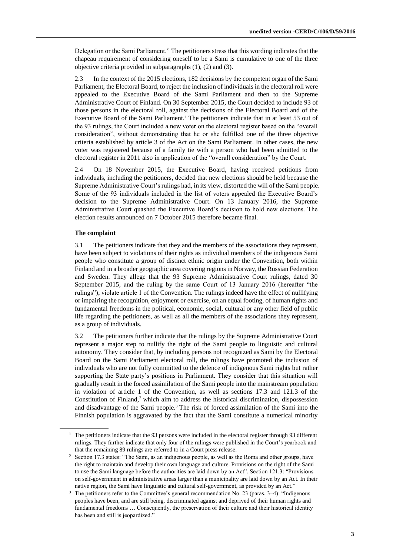Delegation or the Sami Parliament." The petitioners stress that this wording indicates that the chapeau requirement of considering oneself to be a Sami is cumulative to one of the three objective criteria provided in subparagraphs (1), (2) and (3).

2.3 In the context of the 2015 elections, 182 decisions by the competent organ of the Sami Parliament, the Electoral Board, to reject the inclusion of individuals in the electoral roll were appealed to the Executive Board of the Sami Parliament and then to the Supreme Administrative Court of Finland. On 30 September 2015, the Court decided to include 93 of those persons in the electoral roll, against the decisions of the Electoral Board and of the Executive Board of the Sami Parliament.<sup>1</sup> The petitioners indicate that in at least 53 out of the 93 rulings, the Court included a new voter on the electoral register based on the "overall consideration", without demonstrating that he or she fulfilled one of the three objective criteria established by article 3 of the Act on the Sami Parliament. In other cases, the new voter was registered because of a family tie with a person who had been admitted to the electoral register in 2011 also in application of the "overall consideration" by the Court.

2.4 On 18 November 2015, the Executive Board, having received petitions from individuals, including the petitioners, decided that new elections should be held because the Supreme Administrative Court's rulings had, in its view, distorted the will of the Sami people. Some of the 93 individuals included in the list of voters appealed the Executive Board's decision to the Supreme Administrative Court. On 13 January 2016, the Supreme Administrative Court quashed the Executive Board's decision to hold new elections. The election results announced on 7 October 2015 therefore became final.

#### **The complaint**

3.1 The petitioners indicate that they and the members of the associations they represent, have been subject to violations of their rights as individual members of the indigenous Sami people who constitute a group of distinct ethnic origin under the Convention, both within Finland and in a broader geographic area covering regions in Norway, the Russian Federation and Sweden. They allege that the 93 Supreme Administrative Court rulings, dated 30 September 2015, and the ruling by the same Court of 13 January 2016 (hereafter "the rulings"), violate article 1 of the Convention. The rulings indeed have the effect of nullifying or impairing the recognition, enjoyment or exercise, on an equal footing, of human rights and fundamental freedoms in the political, economic, social, cultural or any other field of public life regarding the petitioners, as well as all the members of the associations they represent, as a group of individuals.

3.2 The petitioners further indicate that the rulings by the Supreme Administrative Court represent a major step to nullify the right of the Sami people to linguistic and cultural autonomy. They consider that, by including persons not recognized as Sami by the Electoral Board on the Sami Parliament electoral roll, the rulings have promoted the inclusion of individuals who are not fully committed to the defence of indigenous Sami rights but rather supporting the State party's positions in Parliament. They consider that this situation will gradually result in the forced assimilation of the Sami people into the mainstream population in violation of article 1 of the Convention, as well as sections 17.3 and 121.3 of the Constitution of Finland, $2$  which aim to address the historical discrimination, dispossession and disadvantage of the Sami people.<sup>3</sup> The risk of forced assimilation of the Sami into the Finnish population is aggravated by the fact that the Sami constitute a numerical minority

<sup>&</sup>lt;sup>1</sup> The petitioners indicate that the 93 persons were included in the electoral register through 93 different rulings. They further indicate that only four of the rulings were published in the Court's yearbook and that the remaining 89 rulings are referred to in a Court press release.

<sup>&</sup>lt;sup>2</sup> Section 17.3 states: "The Sami, as an indigenous people, as well as the Roma and other groups, have the right to maintain and develop their own language and culture. Provisions on the right of the Sami to use the Sami language before the authorities are laid down by an Act". Section 121.3: "Provisions on self-government in administrative areas larger than a municipality are laid down by an Act. In their native region, the Sami have linguistic and cultural self-government, as provided by an Act."

<sup>&</sup>lt;sup>3</sup> The petitioners refer to the Committee's general recommendation No. 23 (paras. 3–4): "Indigenous peoples have been, and are still being, discriminated against and deprived of their human rights and fundamental freedoms … Consequently, the preservation of their culture and their historical identity has been and still is jeopardized."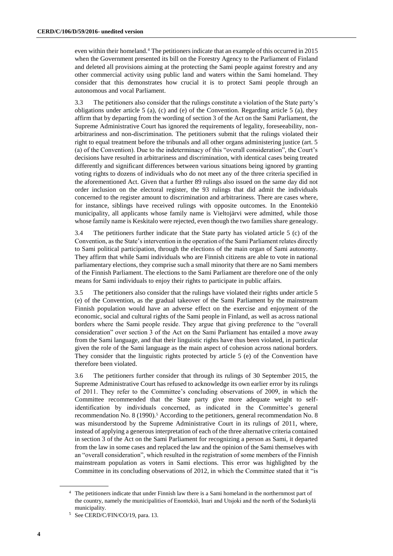even within their homeland.<sup>4</sup> The petitioners indicate that an example of this occurred in 2015 when the Government presented its bill on the Forestry Agency to the Parliament of Finland and deleted all provisions aiming at the protecting the Sami people against forestry and any other commercial activity using public land and waters within the Sami homeland. They consider that this demonstrates how crucial it is to protect Sami people through an autonomous and vocal Parliament.

3.3 The petitioners also consider that the rulings constitute a violation of the State party's obligations under article 5 (a), (c) and (e) of the Convention. Regarding article 5 (a), they affirm that by departing from the wording of section 3 of the Act on the Sami Parliament, the Supreme Administrative Court has ignored the requirements of legality, foreseeability, nonarbitrariness and non-discrimination. The petitioners submit that the rulings violated their right to equal treatment before the tribunals and all other organs administering justice (art. 5 (a) of the Convention). Due to the indeterminacy of this "overall consideration", the Court's decisions have resulted in arbitrariness and discrimination, with identical cases being treated differently and significant differences between various situations being ignored by granting voting rights to dozens of individuals who do not meet any of the three criteria specified in the aforementioned Act. Given that a further 89 rulings also issued on the same day did not order inclusion on the electoral register, the 93 rulings that did admit the individuals concerned to the register amount to discrimination and arbitrariness. There are cases where, for instance, siblings have received rulings with opposite outcomes. In the Enontekiö municipality, all applicants whose family name is Vieltojärvi were admitted, while those whose family name is Keskitalo were rejected, even though the two families share genealogy.

3.4 The petitioners further indicate that the State party has violated article 5 (c) of the Convention, as the State's intervention in the operation of the Sami Parliament relates directly to Sami political participation, through the elections of the main organ of Sami autonomy. They affirm that while Sami individuals who are Finnish citizens are able to vote in national parliamentary elections, they comprise such a small minority that there are no Sami members of the Finnish Parliament. The elections to the Sami Parliament are therefore one of the only means for Sami individuals to enjoy their rights to participate in public affairs.

3.5 The petitioners also consider that the rulings have violated their rights under article 5 (e) of the Convention, as the gradual takeover of the Sami Parliament by the mainstream Finnish population would have an adverse effect on the exercise and enjoyment of the economic, social and cultural rights of the Sami people in Finland, as well as across national borders where the Sami people reside. They argue that giving preference to the "overall consideration" over section 3 of the Act on the Sami Parliament has entailed a move away from the Sami language, and that their linguistic rights have thus been violated, in particular given the role of the Sami language as the main aspect of cohesion across national borders. They consider that the linguistic rights protected by article 5 (e) of the Convention have therefore been violated.

3.6 The petitioners further consider that through its rulings of 30 September 2015, the Supreme Administrative Court has refused to acknowledge its own earlier error by its rulings of 2011. They refer to the Committee's concluding observations of 2009, in which the Committee recommended that the State party give more adequate weight to selfidentification by individuals concerned, as indicated in the Committee's general recommendation No. 8 (1990).<sup>5</sup> According to the petitioners, general recommendation No. 8 was misunderstood by the Supreme Administrative Court in its rulings of 2011, where, instead of applying a generous interpretation of each of the three alternative criteria contained in section 3 of the Act on the Sami Parliament for recognizing a person as Sami, it departed from the law in some cases and replaced the law and the opinion of the Sami themselves with an "overall consideration", which resulted in the registration of some members of the Finnish mainstream population as voters in Sami elections. This error was highlighted by the Committee in its concluding observations of 2012, in which the Committee stated that it "is

<sup>4</sup> The petitioners indicate that under Finnish law there is a Sami homeland in the northernmost part of the country, namely the municipalities of Enontekiö, Inari and Utsjoki and the north of the Sodankylä municipality.

<sup>5</sup> See CERD/C/FIN/CO/19, para. 13.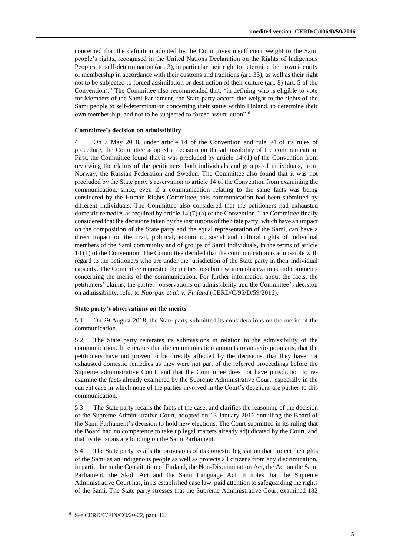concerned that the definition adopted by the Court gives insufficient weight to the Sami people's rights, recognised in the United Nations Declaration on the Rights of Indigenous Peoples, to self-determination (art. 3), in particular their right to determine their own identity or membership in accordance with their customs and traditions (art. 33), as well as their right not to be subjected to forced assimilation or destruction of their culture (art. 8) (art. 5 of the Convention)." The Committee also recommended that, "in defining who is eligible to vote for Members of the Sami Parliament, the State party accord due weight to the rights of the Sami people to self-determination concerning their status within Finland, to determine their own membership, and not to be subjected to forced assimilation".<sup>6</sup>

#### **Committee's decision on admissibility**

4. On 7 May 2018, under article 14 of the Convention and rule 94 of its rules of procedure, the Committee adopted a decision on the admissibility of the communication. First, the Committee found that it was precluded by article 14 (1) of the Convention from reviewing the claims of the petitioners, both individuals and groups of individuals, from Norway, the Russian Federation and Sweden. The Committee also found that it was not precluded by the State party's reservation to article 14 of the Convention from examining the communication, since, even if a communication relating to the same facts was being considered by the Human Rights Committee, this communication had been submitted by different individuals. The Committee also considered that the petitioners had exhausted domestic remedies as required by article 14 (7) (a) of the Convention. The Committee finally considered that the decisions taken by the institutions of the State party, which have an impact on the composition of the State party and the equal representation of the Sami, can have a direct impact on the civil, political, economic, social and cultural rights of individual members of the Sami community and of groups of Sami individuals, in the terms of article 14 (1) of the Convention. The Committee decided that the communication is admissible with regard to the petitioners who are under the jurisdiction of the State party in their individual capacity. The Committee requested the parties to submit written observations and comments concerning the merits of the communication. For further information about the facts, the petitioners' claims, the parties' observations on admissibility and the Committee's decision on admissibility, refer to *Nuorgan et al. v. Finland* (CERD/C/95/D/59/2016).

#### **State party's observations on the merits**

5.1 On 29 August 2018, the State party submitted its considerations on the merits of the communication.

5.2 The State party reiterates its submissions in relation to the admissibility of the communication. It reiterates that the communication amounts to an actio popularis, that the petitioners have not proven to be directly affected by the decisions, that they have not exhausted domestic remedies as they were not part of the referred proceedings before the Supreme administrative Court, and that the Committee does not have jurisdiction to reexamine the facts already examined by the Supreme Administrative Court, especially in the current case in which none of the parties involved in the Court's decisions are parties to this communication.

5.3 The State party recalls the facts of the case, and clarifies the reasoning of the decision of the Supreme Administrative Court, adopted on 13 January 2016 annulling the Board of the Sami Parliament's decision to hold new elections. The Court submitted in its ruling that the Board had no competence to take up legal matters already adjudicated by the Court, and that its decisions are binding on the Sami Parliament.

5.4 The State party recalls the provisions of its domestic legislation that protect the rights of the Sami as an indigenous people as well as protects all citizens from any discrimination, in particular in the Constitution of Finland, the Non-Discrimination Act, the Act on the Sami Parliament, the Skolt Act and the Sami Language Act. It notes that the Supreme Administrative Court has, in its established case law, paid attention to safeguarding the rights of the Sami. The State party stresses that the Supreme Administrative Court examined 182

<sup>6</sup> See CERD/C/FIN/CO/20-22, para. 12.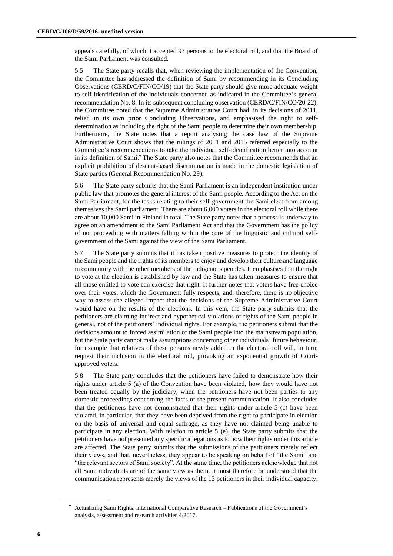appeals carefully, of which it accepted 93 persons to the electoral roll, and that the Board of the Sami Parliament was consulted.

5.5 The State party recalls that, when reviewing the implementation of the Convention, the Committee has addressed the definition of Sami by recommending in its Concluding Observations (CERD/C/FIN/CO/19) that the State party should give more adequate weight to self-identification of the individuals concerned as indicated in the Committee's general recommendation No. 8. In its subsequent concluding observation (CERD/C/FIN/CO/20-22), the Committee noted that the Supreme Administrative Court had, in its decisions of 2011, relied in its own prior Concluding Observations, and emphasised the right to selfdetermination as including the right of the Sami people to determine their own membership. Furthermore, the State notes that a report analysing the case law of the Supreme Administrative Court shows that the rulings of 2011 and 2015 referred especially to the Committee's recommendations to take the individual self-identification better into account in its definition of Sami. <sup>7</sup> The State party also notes that the Committee recommends that an explicit prohibition of descent-based discrimination is made in the domestic legislation of State parties (General Recommendation No. 29).

5.6 The State party submits that the Sami Parliament is an independent institution under public law that promotes the general interest of the Sami people. According to the Act on the Sami Parliament, for the tasks relating to their self-government the Sami elect from among themselves the Sami parliament. There are about 6,000 voters in the electoral roll while there are about 10,000 Sami in Finland in total. The State party notes that a process is underway to agree on an amendment to the Sami Parliament Act and that the Government has the policy of not proceeding with matters falling within the core of the linguistic and cultural selfgovernment of the Sami against the view of the Sami Parliament.

5.7 The State party submits that it has taken positive measures to protect the identity of the Sami people and the rights of its members to enjoy and develop their culture and language in community with the other members of the indigenous peoples. It emphasises that the right to vote at the election is established by law and the State has taken measures to ensure that all those entitled to vote can exercise that right. It further notes that voters have free choice over their votes, which the Government fully respects, and, therefore, there is no objective way to assess the alleged impact that the decisions of the Supreme Administrative Court would have on the results of the elections. In this vein, the State party submits that the petitioners are claiming indirect and hypothetical violations of rights of the Sami people in general, not of the petitioners' individual rights. For example, the petitioners submit that the decisions amount to forced assimilation of the Sami people into the mainstream population, but the State party cannot make assumptions concerning other individuals' future behaviour, for example that relatives of these persons newly added in the electoral roll will, in turn, request their inclusion in the electoral roll, provoking an exponential growth of Courtapproved voters.

5.8 The State party concludes that the petitioners have failed to demonstrate how their rights under article 5 (a) of the Convention have been violated, how they would have not been treated equally by the judiciary, when the petitioners have not been parties to any domestic proceedings concerning the facts of the present communication. It also concludes that the petitioners have not demonstrated that their rights under article 5 (c) have been violated, in particular, that they have been deprived from the right to participate in election on the basis of universal and equal suffrage, as they have not claimed being unable to participate in any election. With relation to article 5 (e), the State party submits that the petitioners have not presented any specific allegations as to how their rights under this article are affected. The State party submits that the submissions of the petitioners merely reflect their views, and that, nevertheless, they appear to be speaking on behalf of "the Sami" and "the relevant sectors of Sami society". At the same time, the petitioners acknowledge that not all Sami individuals are of the same view as them. It must therefore be understood that the communication represents merely the views of the 13 petitioners in their individual capacity.

<sup>7</sup> Actualizing Sami Rights: international Comparative Research – Publications of the Government's analysis, assessment and research activities 4/2017.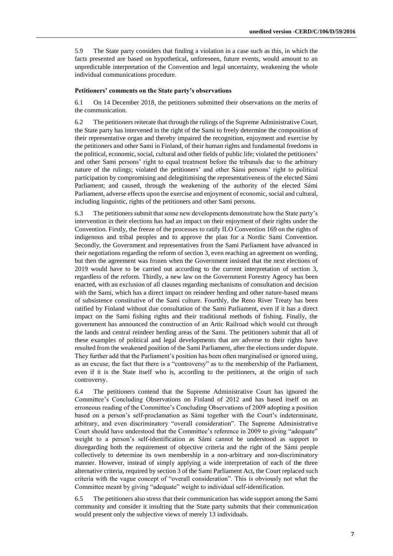5.9 The State party considers that finding a violation in a case such as this, in which the facts presented are based on hypothetical, unforeseen, future events, would amount to an unpredictable interpretation of the Convention and legal uncertainty, weakening the whole individual communications procedure.

#### **Petitioners' comments on the State party's observations**

6.1 On 14 December 2018, the petitioners submitted their observations on the merits of the communication.

6.2 The petitioners reiterate that through the rulings of the Supreme Administrative Court, the State party has intervened in the right of the Sami to freely determine the composition of their representative organ and thereby impaired the recognition, enjoyment and exercise by the petitioners and other Sami in Finland, of their human rights and fundamental freedoms in the political, economic, social, cultural and other fields of public life; violated the petitioners' and other Sami persons' right to equal treatment before the tribunals due to the arbitrary nature of the rulings; violated the petitioners' and other Sámi persons' right to political participation by compromising and delegitimising the representativeness of the elected Sámi Parliament; and caused, through the weakening of the authority of the elected Sámi Parliament, adverse effects upon the exercise and enjoyment of economic, social and cultural, including linguistic, rights of the petitioners and other Sami persons.

6.3 The petitioners submit that some new developments demonstrate how the State party's intervention in their elections has had an impact on their enjoyment of their rights under the Convention. Firstly, the freeze of the processes to ratify ILO Convention 169 on the rights of indigenous and tribal peoples and to approve the plan for a Nordic Sami Convention. Secondly, the Government and representatives from the Sami Parliament have advanced in their negotiations regarding the reform of section 3, even reaching an agreement on wording, but then the agreement was frozen when the Government insisted that the next elections of 2019 would have to be carried out according to the current interpretation of section 3, regardless of the reform. Thirdly, a new law on the Government Forestry Agency has been enacted, with an exclusion of all clauses regarding mechanisms of consultation and decision with the Sami, which has a direct impact on reindeer herding and other nature-based means of subsistence constitutive of the Sami culture. Fourthly, the Reno River Treaty has been ratified by Finland without due consultation of the Sami Parliament, even if it has a direct impact on the Sami fishing rights and their traditional methods of fishing. Finally, the government has announced the construction of an Artic Railroad which would cut through the lands and central reindeer herding areas of the Sami. The petitioners submit that all of these examples of political and legal developments that are adverse to their rights have resulted from the weakened position of the Sami Parliament, after the elections under dispute. They further add that the Parliament's position has been often marginalised or ignored using, as an excuse, the fact that there is a "controversy" as to the membership of the Parliament, even if it is the State itself who is, according to the petitioners, at the origin of such controversy.

6.4 The petitioners contend that the Supreme Administrative Court has ignored the Committee's Concluding Observations on Finland of 2012 and has based itself on an erroneous reading of the Committee's Concluding Observations of 2009 adopting a position based on a person's self-proclamation as Sámi together with the Court's indeterminate, arbitrary, and even discriminatory "overall consideration". The Supreme Administrative Court should have understood that the Committee's reference in 2009 to giving "adequate" weight to a person's self-identification as Sámi cannot be understood as support to disregarding both the requirement of objective criteria and the right of the Sámi people collectively to determine its own membership in a non-arbitrary and non-discriminatory manner. However, instead of simply applying a wide interpretation of each of the three alternative criteria, required by section 3 of the Sami Parliament Act, the Court replaced such criteria with the vague concept of "overall consideration". This is obviously not what the Committee meant by giving "adequate" weight to individual self-identification.

6.5 The petitioners also stress that their communication has wide support among the Sami community and consider it insulting that the State party submits that their communication would present only the subjective views of merely 13 individuals.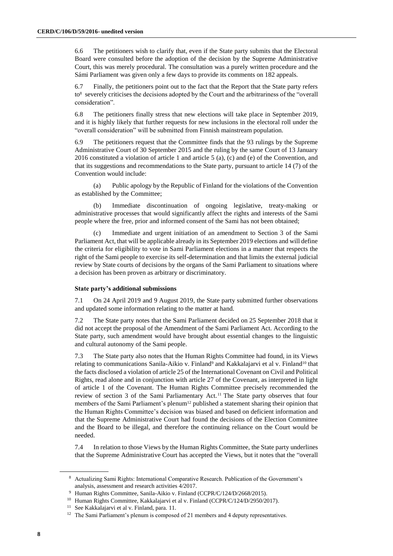6.6 The petitioners wish to clarify that, even if the State party submits that the Electoral Board were consulted before the adoption of the decision by the Supreme Administrative Court, this was merely procedural. The consultation was a purely written procedure and the Sámi Parliament was given only a few days to provide its comments on 182 appeals.

6.7 Finally, the petitioners point out to the fact that the Report that the State party refers to<sup>8</sup> severely criticises the decisions adopted by the Court and the arbitrariness of the "overall consideration".

6.8 The petitioners finally stress that new elections will take place in September 2019, and it is highly likely that further requests for new inclusions in the electoral roll under the "overall consideration" will be submitted from Finnish mainstream population.

6.9 The petitioners request that the Committee finds that the 93 rulings by the Supreme Administrative Court of 30 September 2015 and the ruling by the same Court of 13 January 2016 constituted a violation of article 1 and article 5 (a), (c) and (e) of the Convention, and that its suggestions and recommendations to the State party, pursuant to article 14 (7) of the Convention would include:

(a) Public apology by the Republic of Finland for the violations of the Convention as established by the Committee;

Immediate discontinuation of ongoing legislative, treaty-making or administrative processes that would significantly affect the rights and interests of the Sami people where the free, prior and informed consent of the Sami has not been obtained;

Immediate and urgent initiation of an amendment to Section 3 of the Sami Parliament Act, that will be applicable already in its September 2019 elections and will define the criteria for eligibility to vote in Sami Parliament elections in a manner that respects the right of the Sami people to exercise its self-determination and that limits the external judicial review by State courts of decisions by the organs of the Sami Parliament to situations where a decision has been proven as arbitrary or discriminatory.

#### **State party's additional submissions**

7.1 On 24 April 2019 and 9 August 2019, the State party submitted further observations and updated some information relating to the matter at hand.

7.2 The State party notes that the Sami Parliament decided on 25 September 2018 that it did not accept the proposal of the Amendment of the Sami Parliament Act. According to the State party, such amendment would have brought about essential changes to the linguistic and cultural autonomy of the Sami people.

7.3 The State party also notes that the Human Rights Committee had found, in its Views relating to communications Sanila-Aikio v. Finland<sup>9</sup> and Kakkalajarvi et al v. Finland<sup>10</sup> that the facts disclosed a violation of article 25 of the International Covenant on Civil and Political Rights, read alone and in conjunction with article 27 of the Covenant, as interpreted in light of article 1 of the Covenant. The Human Rights Committee precisely recommended the review of section 3 of the Sami Parliamentary Act. <sup>11</sup> The State party observes that four members of the Sami Parliament's plenum<sup>12</sup> published a statement sharing their opinion that the Human Rights Committee's decision was biased and based on deficient information and that the Supreme Administrative Court had found the decisions of the Election Committee and the Board to be illegal, and therefore the continuing reliance on the Court would be needed.

7.4 In relation to those Views by the Human Rights Committee, the State party underlines that the Supreme Administrative Court has accepted the Views, but it notes that the "overall

<sup>8</sup> Actualizing Sami Rights: International Comparative Research. Publication of the Government's analysis, assessment and research activities 4/2017.

<sup>&</sup>lt;sup>9</sup> Human Rights Committee, Sanila-Aikio v. Finland (CCPR/C/124/D/2668/2015).

<sup>&</sup>lt;sup>10</sup> Human Rights Committee, Kakkalajarvi et al v. Finland (CCPR/C/124/D/2950/2017).

<sup>11</sup> See Kakkalajarvi et al v. Finland, para. 11.

<sup>&</sup>lt;sup>12</sup> The Sami Parliament's plenum is composed of 21 members and 4 deputy representatives.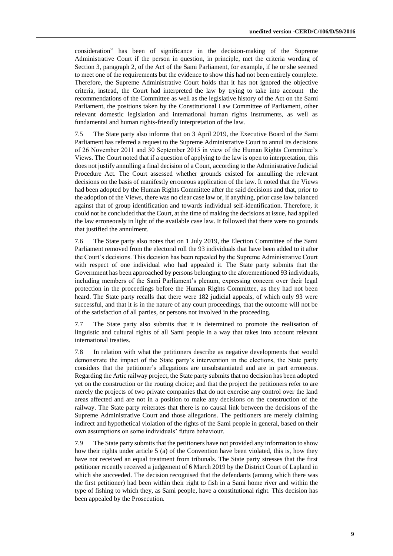consideration" has been of significance in the decision-making of the Supreme Administrative Court if the person in question, in principle, met the criteria wording of Section 3, paragraph 2, of the Act of the Sami Parliament, for example, if he or she seemed to meet one of the requirements but the evidence to show this had not been entirely complete. Therefore, the Supreme Administrative Court holds that it has not ignored the objective criteria, instead, the Court had interpreted the law by trying to take into account the recommendations of the Committee as well as the legislative history of the Act on the Sami Parliament, the positions taken by the Constitutional Law Committee of Parliament, other relevant domestic legislation and international human rights instruments, as well as fundamental and human rights-friendly interpretation of the law.

7.5 The State party also informs that on 3 April 2019, the Executive Board of the Sami Parliament has referred a request to the Supreme Administrative Court to annul its decisions of 26 November 2011 and 30 September 2015 in view of the Human Rights Committee's Views. The Court noted that if a question of applying to the law is open to interpretation, this does not justify annulling a final decision of a Court, according to the Administrative Judicial Procedure Act. The Court assessed whether grounds existed for annulling the relevant decisions on the basis of manifestly erroneous application of the law. It noted that the Views had been adopted by the Human Rights Committee after the said decisions and that, prior to the adoption of the Views, there was no clear case law or, if anything, prior case law balanced against that of group identification and towards individual self-identification. Therefore, it could not be concluded that the Court, at the time of making the decisions at issue, had applied the law erroneously in light of the available case law. It followed that there were no grounds that justified the annulment.

7.6 The State party also notes that on 1 July 2019, the Election Committee of the Sami Parliament removed from the electoral roll the 93 individuals that have been added to it after the Court's decisions. This decision has been repealed by the Supreme Administrative Court with respect of one individual who had appealed it. The State party submits that the Government has been approached by persons belonging to the aforementioned 93 individuals, including members of the Sami Parliament's plenum, expressing concern over their legal protection in the proceedings before the Human Rights Committee, as they had not been heard. The State party recalls that there were 182 judicial appeals, of which only 93 were successful, and that it is in the nature of any court proceedings, that the outcome will not be of the satisfaction of all parties, or persons not involved in the proceeding.

7.7 The State party also submits that it is determined to promote the realisation of linguistic and cultural rights of all Sami people in a way that takes into account relevant international treaties.

7.8 In relation with what the petitioners describe as negative developments that would demonstrate the impact of the State party's intervention in the elections, the State party considers that the petitioner's allegations are unsubstantiated and are in part erroneous. Regarding the Artic railway project, the State party submits that no decision has been adopted yet on the construction or the routing choice; and that the project the petitioners refer to are merely the projects of two private companies that do not exercise any control over the land areas affected and are not in a position to make any decisions on the construction of the railway. The State party reiterates that there is no causal link between the decisions of the Supreme Administrative Court and those allegations. The petitioners are merely claiming indirect and hypothetical violation of the rights of the Sami people in general, based on their own assumptions on some individuals' future behaviour.

7.9 The State party submits that the petitioners have not provided any information to show how their rights under article 5 (a) of the Convention have been violated, this is, how they have not received an equal treatment from tribunals. The State party stresses that the first petitioner recently received a judgement of 6 March 2019 by the District Court of Lapland in which she succeeded. The decision recognised that the defendants (among which there was the first petitioner) had been within their right to fish in a Sami home river and within the type of fishing to which they, as Sami people, have a constitutional right. This decision has been appealed by the Prosecution.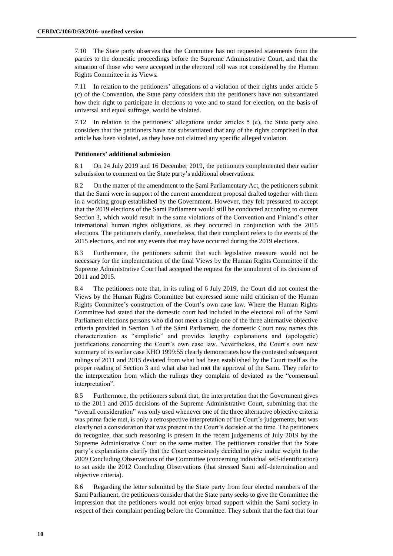7.10 The State party observes that the Committee has not requested statements from the parties to the domestic proceedings before the Supreme Administrative Court, and that the situation of those who were accepted in the electoral roll was not considered by the Human Rights Committee in its Views.

7.11 In relation to the petitioners' allegations of a violation of their rights under article 5 (c) of the Convention, the State party considers that the petitioners have not substantiated how their right to participate in elections to vote and to stand for election, on the basis of universal and equal suffrage, would be violated.

7.12 In relation to the petitioners' allegations under articles 5 (e), the State party also considers that the petitioners have not substantiated that any of the rights comprised in that article has been violated, as they have not claimed any specific alleged violation.

#### **Petitioners' additional submission**

8.1 On 24 July 2019 and 16 December 2019, the petitioners complemented their earlier submission to comment on the State party's additional observations.

8.2 On the matter of the amendment to the Sami Parliamentary Act, the petitioners submit that the Sami were in support of the current amendment proposal drafted together with them in a working group established by the Government. However, they felt pressured to accept that the 2019 elections of the Sami Parliament would still be conducted according to current Section 3, which would result in the same violations of the Convention and Finland's other international human rights obligations, as they occurred in conjunction with the 2015 elections. The petitioners clarify, nonetheless, that their complaint refers to the events of the 2015 elections, and not any events that may have occurred during the 2019 elections.

8.3 Furthermore, the petitioners submit that such legislative measure would not be necessary for the implementation of the final Views by the Human Rights Committee if the Supreme Administrative Court had accepted the request for the annulment of its decision of 2011 and 2015.

8.4 The petitioners note that, in its ruling of 6 July 2019, the Court did not contest the Views by the Human Rights Committee but expressed some mild criticism of the Human Rights Committee's construction of the Court's own case law. Where the Human Rights Committee had stated that the domestic court had included in the electoral roll of the Sami Parliament elections persons who did not meet a single one of the three alternative objective criteria provided in Section 3 of the Sámi Parliament, the domestic Court now names this characterization as "simplistic" and provides lengthy explanations and (apologetic) justifications concerning the Court's own case law. Nevertheless, the Court's own new summary of its earlier case KHO 1999:55 clearly demonstrates how the contested subsequent rulings of 2011 and 2015 deviated from what had been established by the Court itself as the proper reading of Section 3 and what also had met the approval of the Sami. They refer to the interpretation from which the rulings they complain of deviated as the "consensual interpretation".

8.5 Furthermore, the petitioners submit that, the interpretation that the Government gives to the 2011 and 2015 decisions of the Supreme Administrative Court, submitting that the "overall consideration" was only used whenever one of the three alternative objective criteria was prima facie met, is only a retrospective interpretation of the Court's judgements, but was clearly not a consideration that was present in the Court's decision at the time. The petitioners do recognize, that such reasoning is present in the recent judgements of July 2019 by the Supreme Administrative Court on the same matter. The petitioners consider that the State party's explanations clarify that the Court consciously decided to give undue weight to the 2009 Concluding Observations of the Committee (concerning individual self-identification) to set aside the 2012 Concluding Observations (that stressed Sami self-determination and objective criteria).

8.6 Regarding the letter submitted by the State party from four elected members of the Sami Parliament, the petitioners consider that the State party seeks to give the Committee the impression that the petitioners would not enjoy broad support within the Sami society in respect of their complaint pending before the Committee. They submit that the fact that four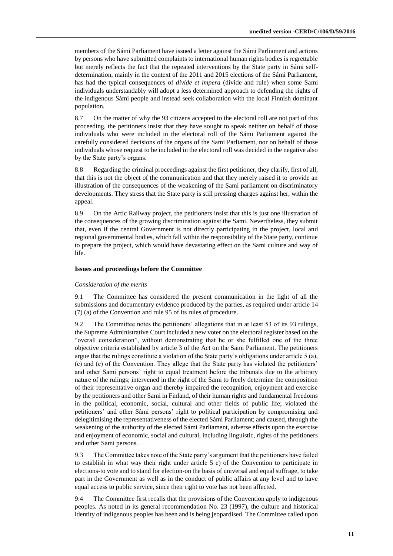members of the Sámi Parliament have issued a letter against the Sámi Parliament and actions by persons who have submitted complaints to international human rights bodies is regrettable but merely reflects the fact that the repeated interventions by the State party in Sámi selfdetermination, mainly in the context of the 2011 and 2015 elections of the Sámi Parliament, has had the typical consequences of *divide et impera* (divide and rule) when some Sami individuals understandably will adopt a less determined approach to defending the rights of the indigenous Sámi people and instead seek collaboration with the local Finnish dominant population.

8.7 On the matter of why the 93 citizens accepted to the electoral roll are not part of this proceeding, the petitioners insist that they have sought to speak neither on behalf of those individuals who were included in the electoral roll of the Sámi Parliament against the carefully considered decisions of the organs of the Sami Parliament, nor on behalf of those individuals whose request to be included in the electoral roll was decided in the negative also by the State party's organs.

8.8 Regarding the criminal proceedings against the first petitioner, they clarify, first of all, that this is not the object of the communication and that they merely raised it to provide an illustration of the consequences of the weakening of the Sami parliament on discriminatory developments. They stress that the State party is still pressing charges against her, within the appeal.

8.9 On the Artic Railway project, the petitioners insist that this is just one illustration of the consequences of the growing discrimination against the Sami. Nevertheless, they submit that, even if the central Government is not directly participating in the project, local and regional governmental bodies, which fall within the responsibility of the State party, continue to prepare the project, which would have devastating effect on the Sami culture and way of life.

#### **Issues and proceedings before the Committee**

#### *Consideration of the merits*

9.1 The Committee has considered the present communication in the light of all the submissions and documentary evidence produced by the parties, as required under article 14 (7) (a) of the Convention and rule 95 of its rules of procedure.

9.2 The Committee notes the petitioners' allegations that in at least 53 of its 93 rulings, the Supreme Administrative Court included a new voter on the electoral register based on the "overall consideration", without demonstrating that he or she fulfilled one of the three objective criteria established by article 3 of the Act on the Sami Parliament. The petitioners argue that the rulings constitute a violation of the State party's obligations under article 5 (a), (c) and (e) of the Convention. They allege that the State party has violated the petitioners' and other Sami persons' right to equal treatment before the tribunals due to the arbitrary nature of the rulings; intervened in the right of the Sami to freely determine the composition of their representative organ and thereby impaired the recognition, enjoyment and exercise by the petitioners and other Sami in Finland, of their human rights and fundamental freedoms in the political, economic, social, cultural and other fields of public life; violated the petitioners' and other Sámi persons' right to political participation by compromising and delegitimising the representativeness of the elected Sámi Parliament; and caused, through the weakening of the authority of the elected Sámi Parliament, adverse effects upon the exercise and enjoyment of economic, social and cultural, including linguistic, rights of the petitioners and other Sami persons.

9.3 The Committee takes note of the State party's argument that the petitioners have failed to establish in what way their right under article 5 e) of the Convention to participate in elections-to vote and to stand for election-on the basis of universal and equal suffrage, to take part in the Government as well as in the conduct of public affairs at any level and to have equal access to public service, since their right to vote has not been affected.

9.4 The Committee first recalls that the provisions of the Convention apply to indigenous peoples. As noted in its general recommendation No. 23 (1997), the culture and historical identity of indigenous peoples has been and is being jeopardised. The Committee called upon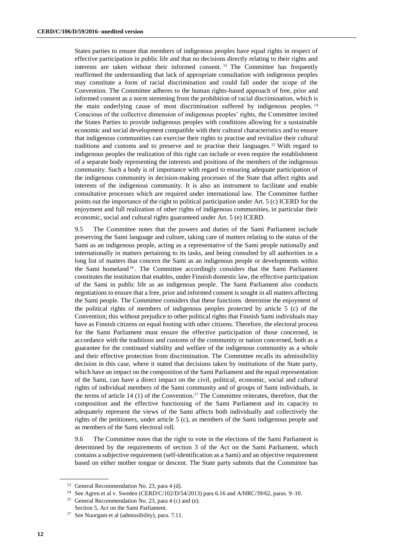States parties to ensure that members of indigenous peoples have equal rights in respect of effective participation in public life and that no decisions directly relating to their rights and interests are taken without their informed consent. <sup>13</sup> The Committee has frequently reaffirmed the understanding that lack of appropriate consultation with indigenous peoples may constitute a form of racial discrimination and could fall under the scope of the Convention. The Committee adheres to the human rights-based approach of free, prior and informed consent as a norm stemming from the prohibition of racial discrimination, which is the main underlying cause of most discrimination suffered by indigenous peoples. <sup>14</sup> Conscious of the collective dimension of indigenous peoples' rights, the Committee invited the States Parties to provide indigenous peoples with conditions allowing for a sustainable economic and social development compatible with their cultural characteristics and to ensure that indigenous communities can exercise their rights to practise and revitalize their cultural traditions and customs and to preserve and to practise their languages. <sup>15</sup> With regard to indigenous peoples the realization of this right can include or even require the establishment of a separate body representing the interests and positions of the members of the indigenous community. Such a body is of importance with regard to ensuring adequate participation of the indigenous community in decision-making processes of the State that affect rights and interests of the indigenous community. It is also an instrument to facilitate and enable consultative processes which are required under international law. The Committee further points out the importance of the right to political participation under Art. 5 (c) ICERD for the enjoyment and full realization of other rights of indigenous communities, in particular their economic, social and cultural rights guaranteed under Art. 5 (e) ICERD.

9.5 The Committee notes that the powers and duties of the Sami Parliament include preserving the Sami language and culture, taking care of matters relating to the status of the Sami as an indigenous people, acting as a representative of the Sami people nationally and internationally in matters pertaining to its tasks, and being consulted by all authorities in a long list of matters that concern the Sami as an indigenous people or developments within the Sami homeland <sup>16</sup>. The Committee accordingly considers that the Sami Parliament constitutes the institution that enables, under Finnish domestic law, the effective participation of the Sami in public life as an indigenous people. The Sami Parliament also conducts negotiations to ensure that a free, prior and informed consent is sought in all matters affecting the Sami people. The Committee considers that these functions determine the enjoyment of the political rights of members of indigenous peoples protected by article 5 (c) of the Convention; this without prejudice to other political rights that Finnish Sami individuals may have as Finnish citizens on equal footing with other citizens. Therefore, the electoral process for the Sami Parliament must ensure the effective participation of those concerned, in accordance with the traditions and customs of the community or nation concerned, both as a guarantee for the continued viability and welfare of the indigenous community as a whole and their effective protection from discrimination. The Committee recalls its admissibility decision in this case, where it stated that decisions taken by institutions of the State party, which have an impact on the composition of the Sami Parliament and the equal representation of the Sami, can have a direct impact on the civil, political, economic, social and cultural rights of individual members of the Sami community and of groups of Sami individuals, in the terms of article 14 (1) of the Convention. <sup>17</sup> The Committee reiterates, therefore, that the composition and the effective functioning of the Sami Parliament and its capacity to adequately represent the views of the Sami affects both individually and collectively the rights of the petitioners, under article 5 (c), as members of the Sami indigenous people and as members of the Sami electoral roll.

9.6 The Committee notes that the right to vote in the elections of the Sami Parliament is determined by the requirements of section 3 of the Act on the Sami Parliament, which contains a subjective requirement (self-identification as a Sami) and an objective requirement based on either mother tongue or descent. The State party submits that the Committee has

<sup>&</sup>lt;sup>13</sup> General Recommendation No. 23, para 4 (d).

<sup>&</sup>lt;sup>14</sup> See Agren et al v. Sweden (CERD/C/102/D/54/2013) para 6.16 and A/HRC/39/62, paras. 9–10.

<sup>&</sup>lt;sup>15</sup> General Recommendation No. 23, para 4 (c) and (e). Section 5, Act on the Sami Parliament.

<sup>17</sup> See Nuorgam et al (admissibility), para. 7.11.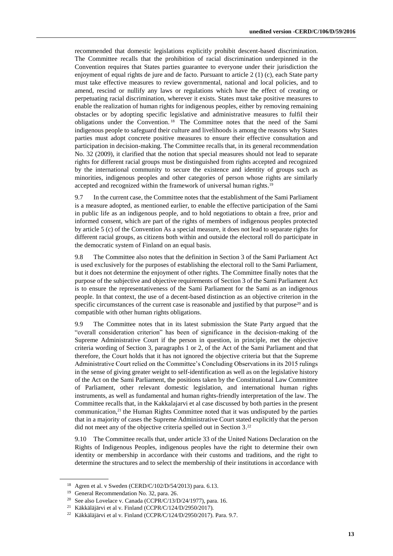recommended that domestic legislations explicitly prohibit descent-based discrimination. The Committee recalls that the prohibition of racial discrimination underpinned in the Convention requires that States parties guarantee to everyone under their jurisdiction the enjoyment of equal rights de jure and de facto. Pursuant to article 2 (1) (c), each State party must take effective measures to review governmental, national and local policies, and to amend, rescind or nullify any laws or regulations which have the effect of creating or perpetuating racial discrimination, wherever it exists. States must take positive measures to enable the realization of human rights for indigenous peoples, either by removing remaining obstacles or by adopting specific legislative and administrative measures to fulfil their obligations under the Convention. <sup>18</sup> The Committee notes that the need of the Sami indigenous people to safeguard their culture and livelihoods is among the reasons why States parties must adopt concrete positive measures to ensure their effective consultation and participation in decision-making. The Committee recalls that, in its general recommendation No. 32 (2009), it clarified that the notion that special measures should not lead to separate rights for different racial groups must be distinguished from rights accepted and recognized by the international community to secure the existence and identity of groups such as minorities, indigenous peoples and other categories of person whose rights are similarly accepted and recognized within the framework of universal human rights.<sup>19</sup>

9.7 In the current case, the Committee notes that the establishment of the Sami Parliament is a measure adopted, as mentioned earlier, to enable the effective participation of the Sami in public life as an indigenous people, and to hold negotiations to obtain a free, prior and informed consent, which are part of the rights of members of indigenous peoples protected by article 5 (c) of the Convention As a special measure, it does not lead to separate rights for different racial groups, as citizens both within and outside the electoral roll do participate in the democratic system of Finland on an equal basis.

9.8 The Committee also notes that the definition in Section 3 of the Sami Parliament Act is used exclusively for the purposes of establishing the electoral roll to the Sami Parliament, but it does not determine the enjoyment of other rights. The Committee finally notes that the purpose of the subjective and objective requirements of Section 3 of the Sami Parliament Act is to ensure the representativeness of the Sami Parliament for the Sami as an indigenous people. In that context, the use of a decent-based distinction as an objective criterion in the specific circumstances of the current case is reasonable and justified by that purpose<sup>20</sup> and is compatible with other human rights obligations.

9.9 The Committee notes that in its latest submission the State Party argued that the "overall consideration criterion" has been of significance in the decision-making of the Supreme Administrative Court if the person in question, in principle, met the objective criteria wording of Section 3, paragraphs 1 or 2, of the Act of the Sami Parliament and that therefore, the Court holds that it has not ignored the objective criteria but that the Supreme Administrative Court relied on the Committee's Concluding Observations in its 2015 rulings in the sense of giving greater weight to self-identification as well as on the legislative history of the Act on the Sami Parliament, the positions taken by the Constitutional Law Committee of Parliament, other relevant domestic legislation, and international human rights instruments, as well as fundamental and human rights-friendly interpretation of the law. The Committee recalls that, in the Kakkalajarvi et al case discussed by both parties in the present communication, <sup>21</sup> the Human Rights Committee noted that it was undisputed by the parties that in a majority of cases the Supreme Administrative Court stated explicitly that the person did not meet any of the objective criteria spelled out in Section 3. 22

9.10 The Committee recalls that, under article 33 of the United Nations Declaration on the Rights of Indigenous Peoples, indigenous peoples have the right to determine their own identity or membership in accordance with their customs and traditions, and the right to determine the structures and to select the membership of their institutions in accordance with

<sup>18</sup> Agren et al. v Sweden (CERD/C/102/D/54/2013) para. 6.13.

<sup>&</sup>lt;sup>19</sup> General Recommendation No. 32, para. 26.

<sup>&</sup>lt;sup>20</sup> See also Lovelace v. Canada (CCPR/C/13/D/24/1977), para. 16.

<sup>21</sup> Käkkäläjärvi et al v. Finland (CCPR/C/124/D/2950/2017).

<sup>22</sup> Käkkäläjärvi et al v. Finland (CCPR/C/124/D/2950/2017). Para. 9.7.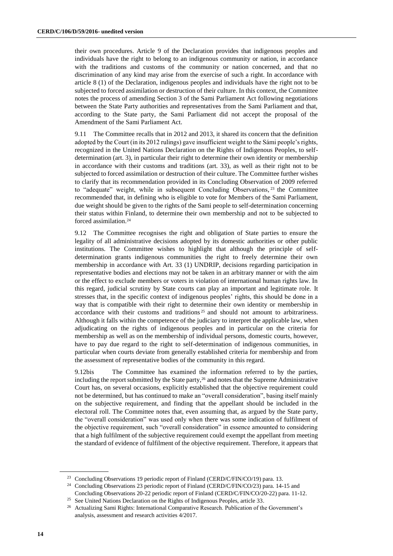their own procedures. Article 9 of the Declaration provides that indigenous peoples and individuals have the right to belong to an indigenous community or nation, in accordance with the traditions and customs of the community or nation concerned, and that no discrimination of any kind may arise from the exercise of such a right. In accordance with article 8 (1) of the Declaration, indigenous peoples and individuals have the right not to be subjected to forced assimilation or destruction of their culture. In this context, the Committee notes the process of amending Section 3 of the Sami Parliament Act following negotiations between the State Party authorities and representatives from the Sami Parliament and that, according to the State party, the Sami Parliament did not accept the proposal of the Amendment of the Sami Parliament Act.

9.11 The Committee recalls that in 2012 and 2013, it shared its concern that the definition adopted by the Court (in its 2012 rulings) gave insufficient weight to the Sámi people's rights, recognized in the United Nations Declaration on the Rights of Indigenous Peoples, to selfdetermination (art. 3), in particular their right to determine their own identity or membership in accordance with their customs and traditions (art. 33), as well as their right not to be subjected to forced assimilation or destruction of their culture. The Committee further wishes to clarify that its recommendation provided in its Concluding Observation of 2009 referred to "adequate" weight, while in subsequent Concluding Observations, <sup>23</sup> the Committee recommended that, in defining who is eligible to vote for Members of the Sami Parliament, due weight should be given to the rights of the Sami people to self-determination concerning their status within Finland, to determine their own membership and not to be subjected to forced assimilation. 24

9.12 The Committee recognises the right and obligation of State parties to ensure the legality of all administrative decisions adopted by its domestic authorities or other public institutions. The Committee wishes to highlight that although the principle of selfdetermination grants indigenous communities the right to freely determine their own membership in accordance with Art. 33 (1) UNDRIP, decisions regarding participation in representative bodies and elections may not be taken in an arbitrary manner or with the aim or the effect to exclude members or voters in violation of international human rights law. In this regard, judicial scrutiny by State courts can play an important and legitimate role. It stresses that, in the specific context of indigenous peoples' rights, this should be done in a way that is compatible with their right to determine their own identity or membership in accordance with their customs and traditions <sup>25</sup> and should not amount to arbitrariness. Although it falls within the competence of the judiciary to interpret the applicable law, when adjudicating on the rights of indigenous peoples and in particular on the criteria for membership as well as on the membership of individual persons, domestic courts, however, have to pay due regard to the right to self-determination of indigenous communities, in particular when courts deviate from generally established criteria for membership and from the assessment of representative bodies of the community in this regard.

9.12bis The Committee has examined the information referred to by the parties, including the report submitted by the State party, <sup>26</sup> and notes that the Supreme Administrative Court has, on several occasions, explicitly established that the objective requirement could not be determined, but has continued to make an "overall consideration", basing itself mainly on the subjective requirement, and finding that the appellant should be included in the electoral roll. The Committee notes that, even assuming that, as argued by the State party, the "overall consideration" was used only when there was some indication of fulfilment of the objective requirement, such "overall consideration" in essence amounted to considering that a high fulfilment of the subjective requirement could exempt the appellant from meeting the standard of evidence of fulfilment of the objective requirement. Therefore, it appears that

<sup>&</sup>lt;sup>23</sup> Concluding Observations 19 periodic report of Finland (CERD/C/FIN/CO/19) para. 13.

<sup>24</sup> Concluding Observations 23 periodic report of Finland (CERD/C/FIN/CO/23) para. 14-15 and Concluding Observations 20-22 periodic report of Finland (CERD/C/FIN/CO/20-22) para. 11-12.

See United Nations Declaration on the Rights of Indigenous Peoples, article 33.

<sup>&</sup>lt;sup>26</sup> Actualizing Sami Rights: International Comparative Research. Publication of the Government's analysis, assessment and research activities 4/2017.